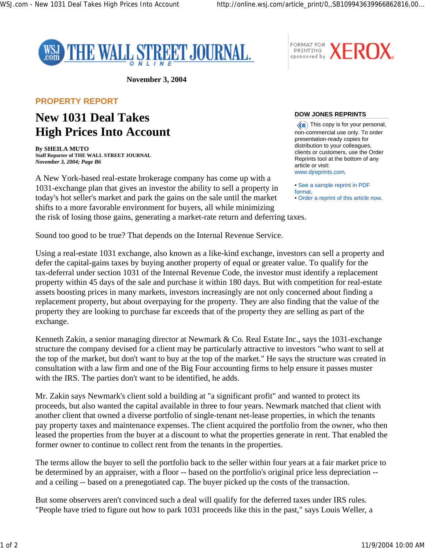FORMAT FOR



**November 3, 2004**

## **PROPERTY REPORT**

## **New 1031 Deal Takes High Prices Into Account**

**By SHEILA MUTO Staff Reporter of THE WALL STREET JOURNAL** *November 3, 2004; Page B6*

A New York-based real-estate brokerage company has come up with a 1031-exchange plan that gives an investor the ability to sell a property in today's hot seller's market and park the gains on the sale until the market shifts to a more favorable environment for buyers, all while minimizing the risk of losing those gains, generating a market-rate return and deferring taxes.

**DOW JONES REPRINTS**

 $\langle R \rangle$  This copy is for your personal, non-commercial use only. To order presentation-ready copies for distribution to your colleagues, clients or customers, use the Order Reprints tool at the bottom of any article or visit: www.djreprints.com.

FORMAT FOR **XEROX.** 

• See a sample reprint in PDF format. • Order a reprint of this article now.

Sound too good to be true? That depends on the Internal Revenue Service.

Using a real-estate 1031 exchange, also known as a like-kind exchange, investors can sell a property and defer the capital-gains taxes by buying another property of equal or greater value. To qualify for the tax-deferral under section 1031 of the Internal Revenue Code, the investor must identify a replacement property within 45 days of the sale and purchase it within 180 days. But with competition for real-estate assets boosting prices in many markets, investors increasingly are not only concerned about finding a replacement property, but about overpaying for the property. They are also finding that the value of the property they are looking to purchase far exceeds that of the property they are selling as part of the exchange.

Kenneth Zakin, a senior managing director at Newmark & Co. Real Estate Inc., says the 1031-exchange structure the company devised for a client may be particularly attractive to investors "who want to sell at the top of the market, but don't want to buy at the top of the market." He says the structure was created in consultation with a law firm and one of the Big Four accounting firms to help ensure it passes muster with the IRS. The parties don't want to be identified, he adds.

Mr. Zakin says Newmark's client sold a building at "a significant profit" and wanted to protect its proceeds, but also wanted the capital available in three to four years. Newmark matched that client with another client that owned a diverse portfolio of single-tenant net-lease properties, in which the tenants pay property taxes and maintenance expenses. The client acquired the portfolio from the owner, who then leased the properties from the buyer at a discount to what the properties generate in rent. That enabled the former owner to continue to collect rent from the tenants in the properties.

The terms allow the buyer to sell the portfolio back to the seller within four years at a fair market price to be determined by an appraiser, with a floor -- based on the portfolio's original price less depreciation - and a ceiling -- based on a prenegotiated cap. The buyer picked up the costs of the transaction.

But some observers aren't convinced such a deal will qualify for the deferred taxes under IRS rules. "People have tried to figure out how to park 1031 proceeds like this in the past," says Louis Weller, a